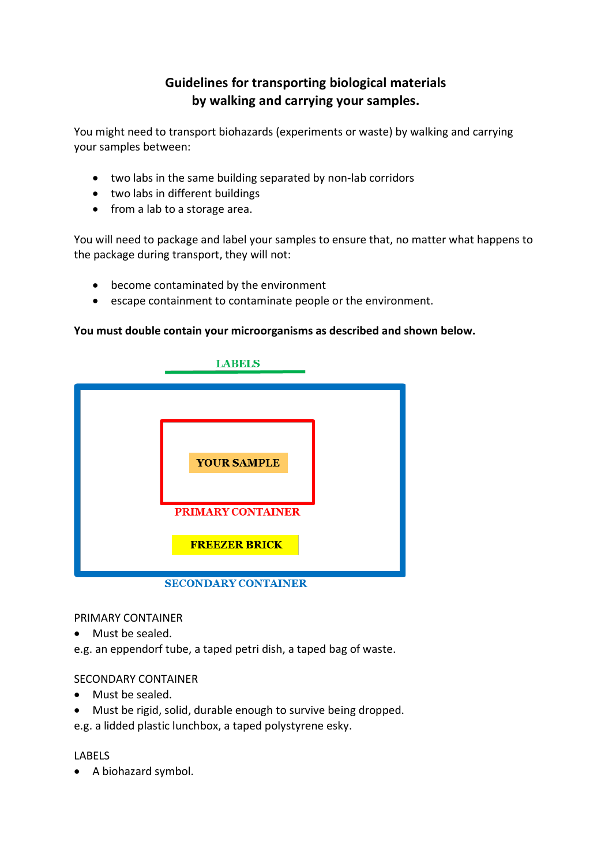# **Guidelines for transporting biological materials by walking and carrying your samples.**

You might need to transport biohazards (experiments or waste) by walking and carrying your samples between:

- two labs in the same building separated by non-lab corridors
- two labs in different buildings
- from a lab to a storage area.

You will need to package and label your samples to ensure that, no matter what happens to the package during transport, they will not:

- become contaminated by the environment
- escape containment to contaminate people or the environment.

#### **You must double contain your microorganisms as described and shown below.**



PRIMARY CONTAINER

• Must be sealed.

e.g. an eppendorf tube, a taped petri dish, a taped bag of waste.

#### SECONDARY CONTAINER

- Must be sealed.
- Must be rigid, solid, durable enough to survive being dropped.
- e.g. a lidded plastic lunchbox, a taped polystyrene esky.

#### LABELS

• A biohazard symbol.